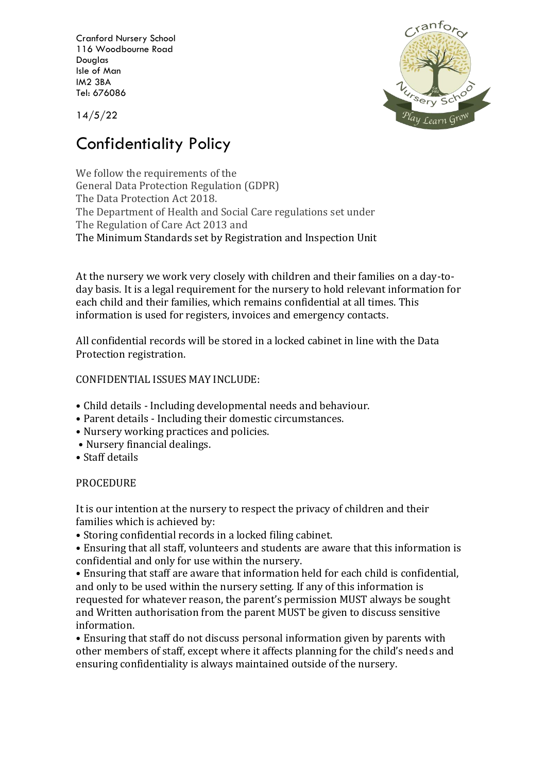Cranford Nursery School 116 Woodbourne Road Douglas Isle of Man IM2 3BA Tel: 676086

 $\mathcal{R}$ anto Ursery <sup>'a</sup>y Learn G

14/5/22

## Confidentiality Policy

We follow the requirements of the General Data Protection Regulation (GDPR) The Data Protection Act 2018. The Department of Health and Social Care regulations set under The Regulation of Care Act 2013 and The Minimum Standards set by Registration and Inspection Unit

At the nursery we work very closely with children and their families on a day-today basis. It is a legal requirement for the nursery to hold relevant information for each child and their families, which remains confidential at all times. This information is used for registers, invoices and emergency contacts.

All confidential records will be stored in a locked cabinet in line with the Data Protection registration.

## CONFIDENTIAL ISSUES MAY INCLUDE:

- Child details Including developmental needs and behaviour.
- Parent details Including their domestic circumstances.
- Nursery working practices and policies.
- Nursery financial dealings.
- Staff details

## **PROCEDURE**

It is our intention at the nursery to respect the privacy of children and their families which is achieved by:

• Storing confidential records in a locked filing cabinet.

• Ensuring that all staff, volunteers and students are aware that this information is confidential and only for use within the nursery.

• Ensuring that staff are aware that information held for each child is confidential, and only to be used within the nursery setting. If any of this information is requested for whatever reason, the parent's permission MUST always be sought and Written authorisation from the parent MUST be given to discuss sensitive information.

• Ensuring that staff do not discuss personal information given by parents with other members of staff, except where it affects planning for the child's needs and ensuring confidentiality is always maintained outside of the nursery.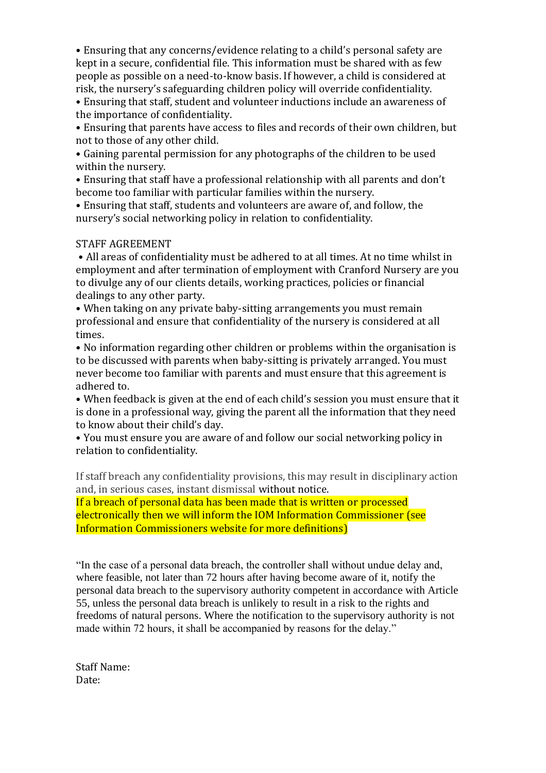• Ensuring that any concerns/evidence relating to a child's personal safety are kept in a secure, confidential file. This information must be shared with as few people as possible on a need-to-know basis. If however, a child is considered at risk, the nursery's safeguarding children policy will override confidentiality.

• Ensuring that staff, student and volunteer inductions include an awareness of the importance of confidentiality.

• Ensuring that parents have access to files and records of their own children, but not to those of any other child.

• Gaining parental permission for any photographs of the children to be used within the nursery.

• Ensuring that staff have a professional relationship with all parents and don't become too familiar with particular families within the nursery.

• Ensuring that staff, students and volunteers are aware of, and follow, the nursery's social networking policy in relation to confidentiality.

## STAFF AGREEMENT

• All areas of confidentiality must be adhered to at all times. At no time whilst in employment and after termination of employment with Cranford Nursery are you to divulge any of our clients details, working practices, policies or financial dealings to any other party.

• When taking on any private baby-sitting arrangements you must remain professional and ensure that confidentiality of the nursery is considered at all times.

• No information regarding other children or problems within the organisation is to be discussed with parents when baby-sitting is privately arranged. You must never become too familiar with parents and must ensure that this agreement is adhered to.

• When feedback is given at the end of each child's session you must ensure that it is done in a professional way, giving the parent all the information that they need to know about their child's day.

• You must ensure you are aware of and follow our social networking policy in relation to confidentiality.

If staff breach any confidentiality provisions, this may result in disciplinary action and, in serious cases, instant dismissal without notice.

If a breach of personal data has been made that is written or processed electronically then we will inform the IOM Information Commissioner (see Information Commissioners website for more definitions)

"In the case of a personal data breach, the controller shall without undue delay and, where feasible, not later than 72 hours after having become aware of it, notify the personal data breach to the supervisory authority competent in accordance with Article 55, unless the personal data breach is unlikely to result in a risk to the rights and freedoms of natural persons. Where the notification to the supervisory authority is not made within 72 hours, it shall be accompanied by reasons for the delay."

Staff Name: Date: